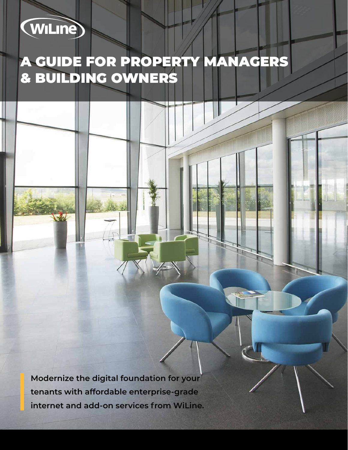# (WiLine)

W

## A GUIDE FOR PROPERTY MANAGERS & BUILDING OWNERS

**Modernize the digital foundation for your tenants with affordable enterprise-grade internet and add-on services from WiLine.**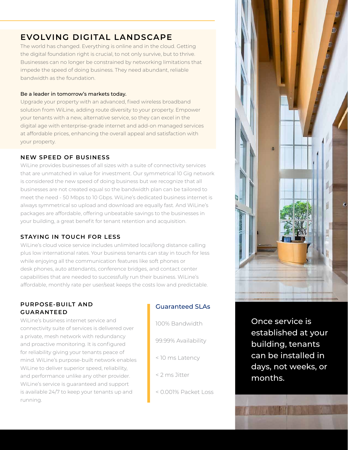## **EVOLVING DIGITAL LANDSCAPE**

The world has changed. Everything is online and in the cloud. Getting the digital foundation right is crucial, to not only survive, but to thrive. Businesses can no longer be constrained by networking limitations that impede the speed of doing business. They need abundant, reliable bandwidth as the foundation.

#### Be a leader in tomorrow's markets today.

Upgrade your property with an advanced, fixed wireless broadband solution from WiLine, adding route diversity to your property. Empower your tenants with a new, alternative service, so they can excel in the digital age with enterprise-grade internet and add-on managed services at affordable prices, enhancing the overall appeal and satisfaction with your property.

#### **NEW SPEED OF BUSINESS**

WiLine provides businesses of all sizes with a suite of connectivity services that are unmatched in value for investment. Our symmetrical 10 Gig network is considered the new speed of doing business but we recognize that all businesses are not created equal so the bandwidth plan can be tailored to meet the need - 50 Mbps to 10 Gbps. WiLine's dedicated business internet is always symmetrical so upload and download are equally fast. And WiLine's packages are affordable, offering unbeatable savings to the businesses in your building, a great benefit for tenant retention and acquisition.

#### **STAYING IN TOUCH FOR LESS**

WiLine's cloud voice service includes unlimited local/long distance calling plus low international rates. Your business tenants can stay in touch for less while enjoying all the communication features like soft phones or desk phones, auto attendants, conference bridges, and contact center capabilities that are needed to successfully run their business. WiLine's affordable, monthly rate per user/seat keeps the costs low and predictable.

#### **PURPOSE-BUILT AND GUARANTEED**

WiLine's business internet service and connectivity suite of services is delivered over a private, mesh network with redundancy and proactive monitoring. It is configured for reliability giving your tenants peace of mind. WiLine's purpose-built network enables WiLine to deliver superior speed, reliability, and performance unlike any other provider. WiLine's service is guaranteed and support is available 24/7 to keep your tenants up and running.

### Guaranteed SLAs

- 100% Bandwidth 99.99% Availability < 10 ms Latency < 2 ms Jitter
- < 0.001% Packet Loss



established at your building, tenants can be installed in days, not weeks, or months.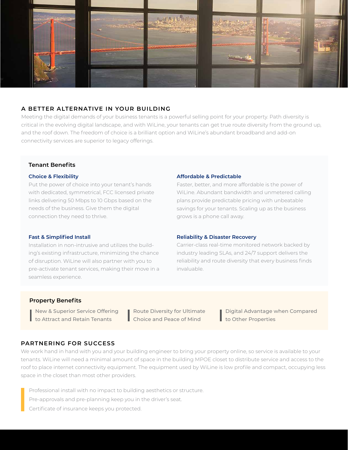

#### **A BETTER ALTERNATIVE IN YOUR BUILDING**

Meeting the digital demands of your business tenants is a powerful selling point for your property. Path diversity is critical in the evolving digital landscape, and with WiLine, your tenants can get true route diversity from the ground up, and the roof down. The freedom of choice is a brilliant option and WiLine's abundant broadband and add-on connectivity services are superior to legacy offerings.

#### **Tenant Benefits**

#### **Choice & Flexibility**

Put the power of choice into your tenant's hands with dedicated, symmetrical, FCC licensed private links delivering 50 Mbps to 10 Gbps based on the needs of the business. Give them the digital connection they need to thrive.

#### **Fast & Simplified Install**

Installation in non-intrusive and utilizes the building's existing infrastructure, minimizing the chance of disruption. WiLine will also partner with you to pre-activate tenant services, making their move in a seamless experience.

#### **Affordable & Predictable**

Faster, better, and more affordable is the power of WiLine. Abundant bandwidth and unmetered calling plans provide predictable pricing with unbeatable savings for your tenants. Scaling up as the business grows is a phone call away.

#### **Reliability & Disaster Recovery**

Carrier-class real-time monitored network backed by industry leading SLAs, and 24/7 support delivers the reliability and route diversity that every business finds invaluable.

#### **Property Benefits**

New & Superior Service Offering to Attract and Retain Tenants

Route Diversity for Ultimate Choice and Peace of Mind

Digital Advantage when Compared to Other Properties

#### **PARTNERING FOR SUCCESS**

We work hand in hand with you and your building engineer to bring your property online, so service is available to your tenants. WiLine will need a minimal amount of space in the building MPOE closet to distribute service and access to the roof to place internet connectivity equipment. The equipment used by WiLine is low profile and compact, occupying less space in the closet than most other providers.

Professional install with no impact to building aesthetics or structure.

Pre-approvals and pre-planning keep you in the driver's seat.

Certificate of insurance keeps you protected.